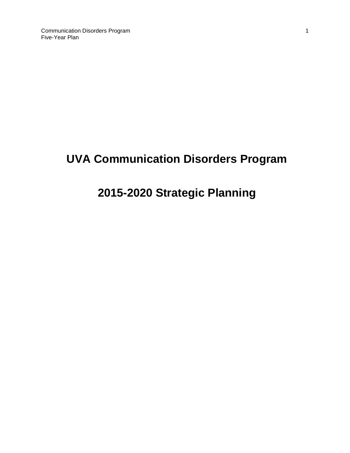# **UVA Communication Disorders Program**

# **2015-2020 Strategic Planning**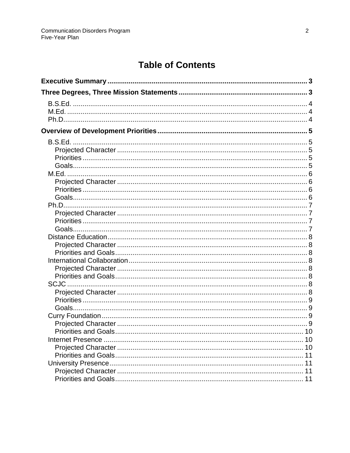# **Table of Contents**

| <b>SCJC</b>                 |    |
|-----------------------------|----|
|                             |    |
|                             |    |
|                             |    |
|                             |    |
|                             |    |
| <b>Priorities and Goals</b> | 10 |
|                             |    |
|                             | 10 |
|                             |    |
|                             |    |
|                             | 11 |
|                             |    |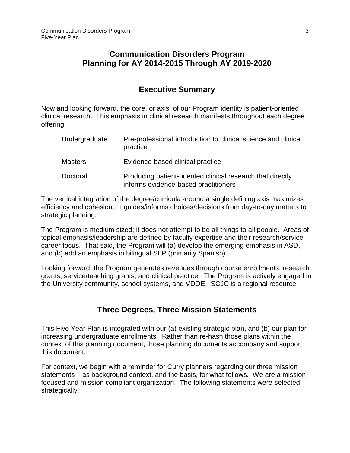## **Communication Disorders Program Planning for AY 2014-2015 Through AY 2019-2020**

## **Executive Summary**

<span id="page-2-0"></span>Now and looking forward, the core, or axis, of our Program identity is patient-oriented clinical research. This emphasis in clinical research manifests throughout each degree offering:

| Undergraduate  | Pre-professional introduction to clinical science and clinical<br>practice                         |
|----------------|----------------------------------------------------------------------------------------------------|
| <b>Masters</b> | Evidence-based clinical practice                                                                   |
| Doctoral       | Producing patient-oriented clinical research that directly<br>informs evidence-based practitioners |

The vertical integration of the degree/curricula around a single defining axis maximizes efficiency and cohesion. It guides/informs choices/decisions from day-to-day matters to strategic planning.

The Program is medium sized; it does not attempt to be all things to all people. Areas of topical emphasis/leadership are defined by faculty expertise and their research/service career focus. That said, the Program will (a) develop the emerging emphasis in ASD, and (b) add an emphasis in bilingual SLP (primarily Spanish).

<span id="page-2-1"></span>Looking forward, the Program generates revenues through course enrollments, research grants, service/teaching grants, and clinical practice. The Program is actively engaged in the University community, school systems, and VDOE. SCJC is a regional resource.

## **Three Degrees, Three Mission Statements**

This Five Year Plan is integrated with our (a) existing strategic plan, and (b) our plan for increasing undergraduate enrollments. Rather than re-hash those plans within the context of this planning document, those planning documents accompany and support this document.

For context, we begin with a reminder for Curry planners regarding our three mission statements – as background context, and the basis, for what follows. We are a mission focused and mission compliant organization. The following statements were selected strategically.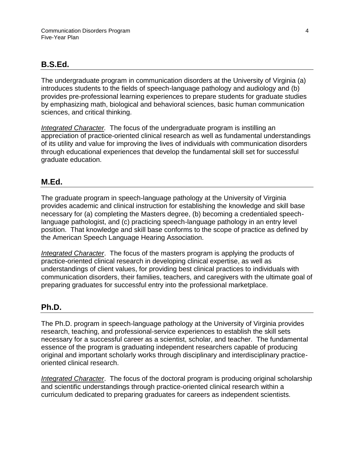## <span id="page-3-0"></span>**B.S.Ed.**

The undergraduate program in communication disorders at the University of Virginia (a) introduces students to the fields of speech-language pathology and audiology and (b) provides pre-professional learning experiences to prepare students for graduate studies by emphasizing math, biological and behavioral sciences, basic human communication sciences, and critical thinking.

*Integrated Character.* The focus of the undergraduate program is instilling an appreciation of practice-oriented clinical research as well as fundamental understandings of its utility and value for improving the lives of individuals with communication disorders through educational experiences that develop the fundamental skill set for successful graduate education.

## <span id="page-3-1"></span>**M.Ed.**

The graduate program in speech-language pathology at the University of Virginia provides academic and clinical instruction for establishing the knowledge and skill base necessary for (a) completing the Masters degree, (b) becoming a credentialed speechlanguage pathologist, and (c) practicing speech-language pathology in an entry level position. That knowledge and skill base conforms to the scope of practice as defined by the American Speech Language Hearing Association.

*Integrated Character*. The focus of the masters program is applying the products of practice-oriented clinical research in developing clinical expertise, as well as understandings of client values, for providing best clinical practices to individuals with communication disorders, their families, teachers, and caregivers with the ultimate goal of preparing graduates for successful entry into the professional marketplace.

## <span id="page-3-2"></span>**Ph.D.**

The Ph.D. program in speech-language pathology at the University of Virginia provides research, teaching, and professional-service experiences to establish the skill sets necessary for a successful career as a scientist, scholar, and teacher. The fundamental essence of the program is graduating independent researchers capable of producing original and important scholarly works through disciplinary and interdisciplinary practiceoriented clinical research.

*Integrated Character*. The focus of the doctoral program is producing original scholarship and scientific understandings through practice-oriented clinical research within a curriculum dedicated to preparing graduates for careers as independent scientists.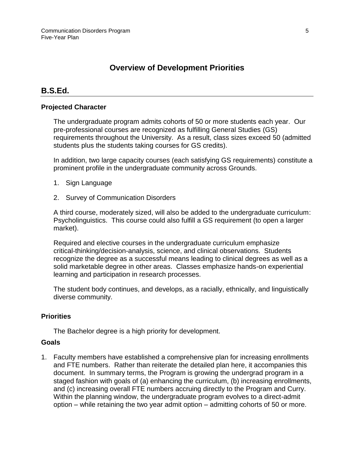# **Overview of Development Priorities**

## <span id="page-4-1"></span><span id="page-4-0"></span>**B.S.Ed.**

#### <span id="page-4-2"></span>**Projected Character**

The undergraduate program admits cohorts of 50 or more students each year. Our pre-professional courses are recognized as fulfilling General Studies (GS) requirements throughout the University. As a result, class sizes exceed 50 (admitted students plus the students taking courses for GS credits).

In addition, two large capacity courses (each satisfying GS requirements) constitute a prominent profile in the undergraduate community across Grounds.

- 1. Sign Language
- 2. Survey of Communication Disorders

A third course, moderately sized, will also be added to the undergraduate curriculum: Psycholinguistics. This course could also fulfill a GS requirement (to open a larger market).

Required and elective courses in the undergraduate curriculum emphasize critical-thinking/decision-analysis, science, and clinical observations. Students recognize the degree as a successful means leading to clinical degrees as well as a solid marketable degree in other areas. Classes emphasize hands-on experiential learning and participation in research processes.

The student body continues, and develops, as a racially, ethnically, and linguistically diverse community.

#### <span id="page-4-3"></span>**Priorities**

The Bachelor degree is a high priority for development.

#### <span id="page-4-4"></span>**Goals**

1. Faculty members have established a comprehensive plan for increasing enrollments and FTE numbers. Rather than reiterate the detailed plan here, it accompanies this document. In summary terms, the Program is growing the undergrad program in a staged fashion with goals of (a) enhancing the curriculum, (b) increasing enrollments, and (c) increasing overall FTE numbers accruing directly to the Program and Curry. Within the planning window, the undergraduate program evolves to a direct-admit option – while retaining the two year admit option – admitting cohorts of 50 or more.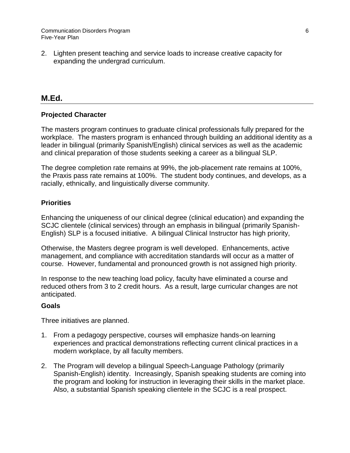2. Lighten present teaching and service loads to increase creative capacity for expanding the undergrad curriculum.

## <span id="page-5-0"></span>**M.Ed.**

#### <span id="page-5-1"></span>**Projected Character**

The masters program continues to graduate clinical professionals fully prepared for the workplace. The masters program is enhanced through building an additional identity as a leader in bilingual (primarily Spanish/English) clinical services as well as the academic and clinical preparation of those students seeking a career as a bilingual SLP.

The degree completion rate remains at 99%, the job-placement rate remains at 100%, the Praxis pass rate remains at 100%. The student body continues, and develops, as a racially, ethnically, and linguistically diverse community.

#### <span id="page-5-2"></span>**Priorities**

Enhancing the uniqueness of our clinical degree (clinical education) and expanding the SCJC clientele (clinical services) through an emphasis in bilingual (primarily Spanish-English) SLP is a focused initiative. A bilingual Clinical Instructor has high priority,

Otherwise, the Masters degree program is well developed. Enhancements, active management, and compliance with accreditation standards will occur as a matter of course. However, fundamental and pronounced growth is not assigned high priority.

In response to the new teaching load policy, faculty have eliminated a course and reduced others from 3 to 2 credit hours. As a result, large curricular changes are not anticipated.

#### <span id="page-5-3"></span>**Goals**

Three initiatives are planned.

- 1. From a pedagogy perspective, courses will emphasize hands-on learning experiences and practical demonstrations reflecting current clinical practices in a modern workplace, by all faculty members.
- 2. The Program will develop a bilingual Speech-Language Pathology (primarily Spanish-English) identity. Increasingly, Spanish speaking students are coming into the program and looking for instruction in leveraging their skills in the market place. Also, a substantial Spanish speaking clientele in the SCJC is a real prospect.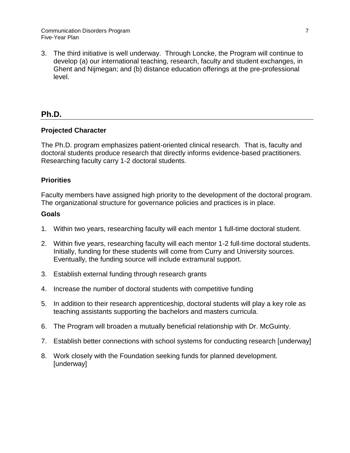3. The third initiative is well underway. Through Loncke, the Program will continue to develop (a) our international teaching, research, faculty and student exchanges, in Ghent and Nijmegan; and (b) distance education offerings at the pre-professional level.

# <span id="page-6-0"></span>**Ph.D.**

## <span id="page-6-1"></span>**Projected Character**

The Ph.D. program emphasizes patient-oriented clinical research. That is, faculty and doctoral students produce research that directly informs evidence-based practitioners. Researching faculty carry 1-2 doctoral students.

## <span id="page-6-2"></span>**Priorities**

Faculty members have assigned high priority to the development of the doctoral program. The organizational structure for governance policies and practices is in place.

## <span id="page-6-3"></span>**Goals**

- 1. Within two years, researching faculty will each mentor 1 full-time doctoral student.
- 2. Within five years, researching faculty will each mentor 1-2 full-time doctoral students. Initially, funding for these students will come from Curry and University sources. Eventually, the funding source will include extramural support.
- 3. Establish external funding through research grants
- 4. Increase the number of doctoral students with competitive funding
- 5. In addition to their research apprenticeship, doctoral students will play a key role as teaching assistants supporting the bachelors and masters curricula.
- 6. The Program will broaden a mutually beneficial relationship with Dr. McGuinty.
- 7. Establish better connections with school systems for conducting research [underway]
- 8. Work closely with the Foundation seeking funds for planned development. [underway]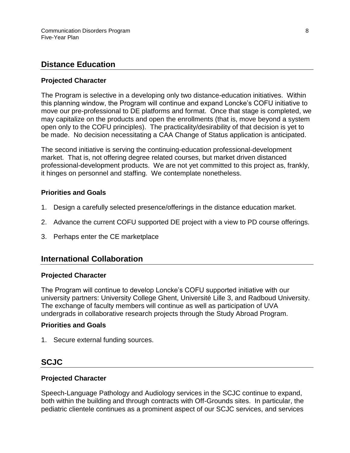## <span id="page-7-0"></span>**Distance Education**

#### <span id="page-7-1"></span>**Projected Character**

The Program is selective in a developing only two distance-education initiatives. Within this planning window, the Program will continue and expand Loncke's COFU initiative to move our pre-professional to DE platforms and format. Once that stage is completed, we may capitalize on the products and open the enrollments (that is, move beyond a system open only to the COFU principles). The practicality/desirability of that decision is yet to be made. No decision necessitating a CAA Change of Status application is anticipated.

The second initiative is serving the continuing-education professional-development market. That is, not offering degree related courses, but market driven distanced professional-development products. We are not yet committed to this project as, frankly, it hinges on personnel and staffing. We contemplate nonetheless.

#### <span id="page-7-2"></span>**Priorities and Goals**

- 1. Design a carefully selected presence/offerings in the distance education market.
- 2. Advance the current COFU supported DE project with a view to PD course offerings.
- <span id="page-7-3"></span>3. Perhaps enter the CE marketplace

## **International Collaboration**

#### <span id="page-7-4"></span>**Projected Character**

The Program will continue to develop Loncke's COFU supported initiative with our university partners: University College Ghent, Université Lille 3, and Radboud University. The exchange of faculty members will continue as well as participation of UVA undergrads in collaborative research projects through the Study Abroad Program.

#### <span id="page-7-5"></span>**Priorities and Goals**

<span id="page-7-6"></span>1. Secure external funding sources.

## **SCJC**

#### <span id="page-7-7"></span>**Projected Character**

Speech-Language Pathology and Audiology services in the SCJC continue to expand, both within the building and through contracts with Off-Grounds sites. In particular, the pediatric clientele continues as a prominent aspect of our SCJC services, and services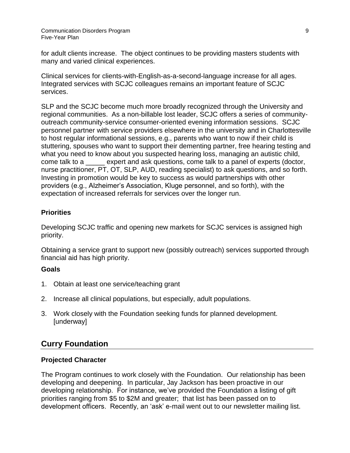for adult clients increase. The object continues to be providing masters students with many and varied clinical experiences.

Clinical services for clients-with-English-as-a-second-language increase for all ages. Integrated services with SCJC colleagues remains an important feature of SCJC services.

SLP and the SCJC become much more broadly recognized through the University and regional communities. As a non-billable lost leader, SCJC offers a series of communityoutreach community-service consumer-oriented evening information sessions. SCJC personnel partner with service providers elsewhere in the university and in Charlottesville to host regular informational sessions, e.g., parents who want to now if their child is stuttering, spouses who want to support their dementing partner, free hearing testing and what you need to know about you suspected hearing loss, managing an autistic child, come talk to a \_\_\_\_\_ expert and ask questions, come talk to a panel of experts (doctor, nurse practitioner, PT, OT, SLP, AUD, reading specialist) to ask questions, and so forth. Investing in promotion would be key to success as would partnerships with other providers (e.g., Alzheimer's Association, Kluge personnel, and so forth), with the expectation of increased referrals for services over the longer run.

## <span id="page-8-0"></span>**Priorities**

Developing SCJC traffic and opening new markets for SCJC services is assigned high priority.

Obtaining a service grant to support new (possibly outreach) services supported through financial aid has high priority.

## <span id="page-8-1"></span>**Goals**

- 1. Obtain at least one service/teaching grant
- 2. Increase all clinical populations, but especially, adult populations.
- 3. Work closely with the Foundation seeking funds for planned development. **[underway]**

# <span id="page-8-2"></span>**Curry Foundation**

## <span id="page-8-3"></span>**Projected Character**

The Program continues to work closely with the Foundation. Our relationship has been developing and deepening. In particular, Jay Jackson has been proactive in our developing relationship. For instance, we've provided the Foundation a listing of gift priorities ranging from \$5 to \$2M and greater; that list has been passed on to development officers. Recently, an 'ask' e-mail went out to our newsletter mailing list.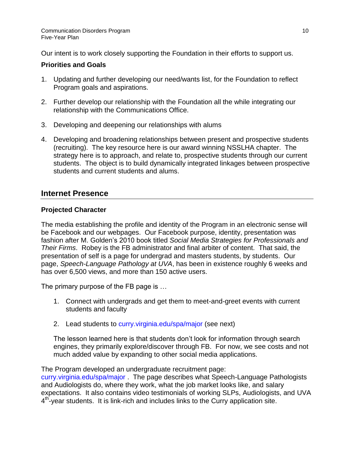Our intent is to work closely supporting the Foundation in their efforts to support us.

## <span id="page-9-0"></span>**Priorities and Goals**

- 1. Updating and further developing our need/wants list, for the Foundation to reflect Program goals and aspirations.
- 2. Further develop our relationship with the Foundation all the while integrating our relationship with the Communications Office.
- 3. Developing and deepening our relationships with alums
- 4. Developing and broadening relationships between present and prospective students (recruiting). The key resource here is our award winning NSSLHA chapter. The strategy here is to approach, and relate to, prospective students through our current students. The object is to build dynamically integrated linkages between prospective students and current students and alums.

## <span id="page-9-1"></span>**Internet Presence**

## <span id="page-9-2"></span>**Projected Character**

The media establishing the profile and identity of the Program in an electronic sense will be Facebook and our webpages. Our Facebook purpose, identity, presentation was fashion after M. Golden's 2010 book titled *Social Media Strategies for Professionals and Their Firms*. Robey is the FB administrator and final arbiter of content. That said, the presentation of self is a page for undergrad and masters students, by students. Our page, *Speech-Language Pathology at UVA*, has been in existence roughly 6 weeks and has over 6,500 views, and more than 150 active users.

The primary purpose of the FB page is …

- 1. Connect with undergrads and get them to meet-and-greet events with current students and faculty
- 2. Lead students to curry.virginia.edu/spa/major (see next)

The lesson learned here is that students don't look for information through search engines, they primarily explore/discover through FB. For now, we see costs and not much added value by expanding to other social media applications.

The Program developed an undergraduate recruitment page:

curry.virginia.edu/spa/major . The page describes what Speech-Language Pathologists and Audiologists do, where they work, what the job market looks like, and salary expectations. It also contains video testimonials of working SLPs, Audiologists, and UVA 4<sup>th</sup>-year students. It is link-rich and includes links to the Curry application site.